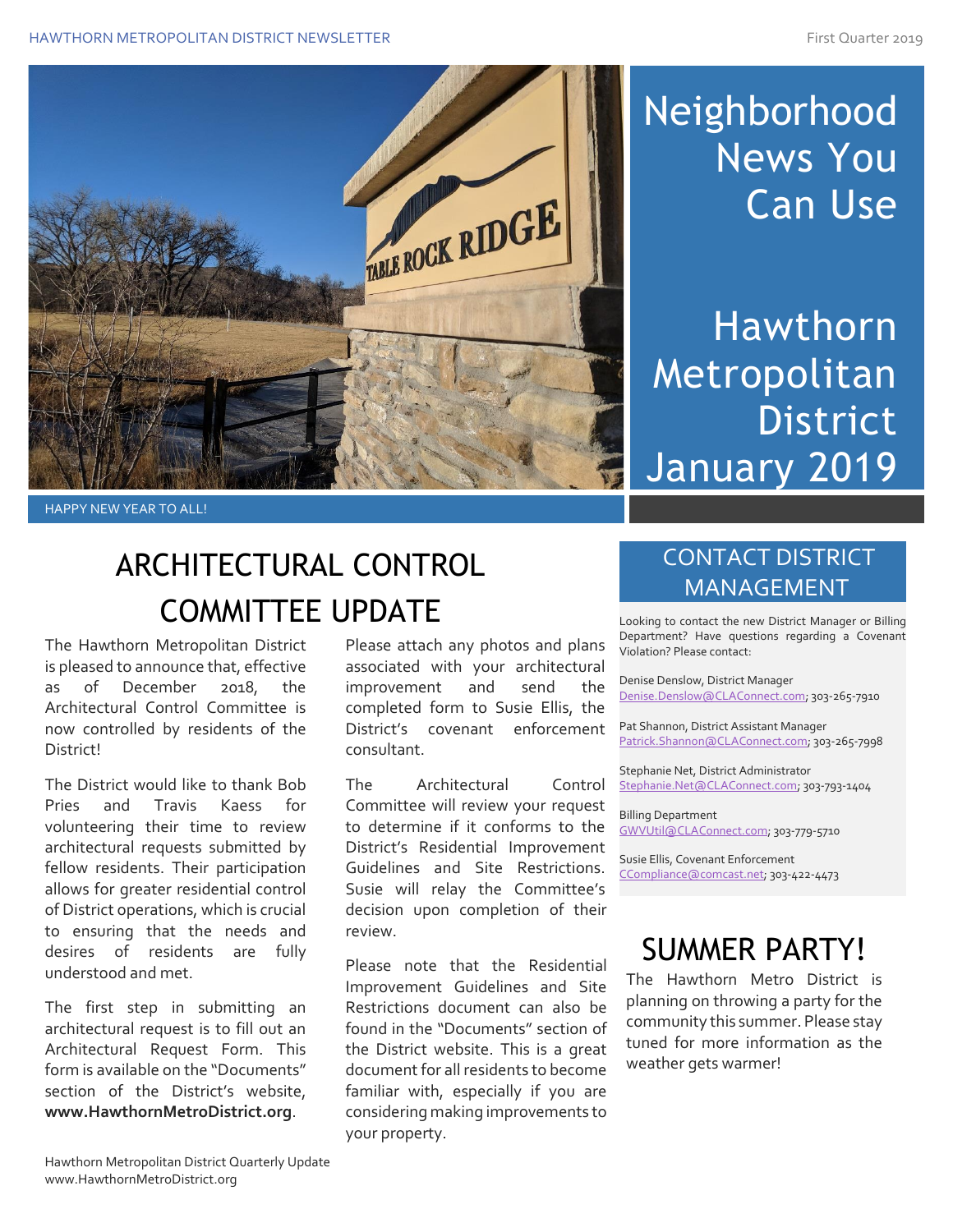

# Neighborhood News You Can Use

Hawthorn Metropolitan **District** January 2019

HAPPY NEW YEAR TO ALL!

# ARCHITECTURAL CONTROL COMMITTEE UPDATE

The Hawthorn Metropolitan District is pleased to announce that, effective as of December 2018, the Architectural Control Committee is now controlled by residents of the District!

The District would like to thank Bob Pries and Travis Kaess for volunteering their time to review architectural requests submitted by fellow residents. Their participation allows for greater residential control of District operations, which is crucial to ensuring that the needs and desires of residents are fully understood and met.

The first step in submitting an architectural request is to fill out an Architectural Request Form. This form is available on the "Documents" section of the District's website, **www.HawthornMetroDistrict.org**.

Please attach any photos and plans associated with your architectural improvement and send the completed form to Susie Ellis, the District's covenant enforcement consultant.

The Architectural Control Committee will review your request to determine if it conforms to the District's Residential Improvement Guidelines and Site Restrictions. Susie will relay the Committee's decision upon completion of their review.

Please note that the Residential Improvement Guidelines and Site Restrictions document can also be found in the "Documents" section of the District website. This is a great document for all residents to become familiar with, especially if you are considering making improvements to your property.

#### CONTACT DISTRICT MANAGEMENT

Looking to contact the new District Manager or Billing Department? Have questions regarding a Covenant Violation? Please contact:

Denise Denslow, District Manager [Denise.Denslow@CLAConnect.com;](mailto:Denise.Denslow@CLAConnect.com) 303-265-7910

Pat Shannon, District Assistant Manager [Patrick.Shannon@CLAConnect.com;](mailto:Patrick.Shannon@CLAConnect.com) 303-265-7998

Stephanie Net, District Administrator [Stephanie.Net@CLAConnect.com;](mailto:Stephanie.Net@CLAConnect.com) 303-793-1404

Billing Department [GWVUtil@CLAConnect.com;](mailto:GWVUtil@CLAConnect.com) 303-779-5710

Susie Ellis, Covenant Enforcement [CCompliance@comcast.net;](mailto:CCompliance@comcast.net) 303-422-4473

## SUMMER PARTY!

The Hawthorn Metro District is planning on throwing a party for the community this summer. Please stay tuned for more information as the weather gets warmer!